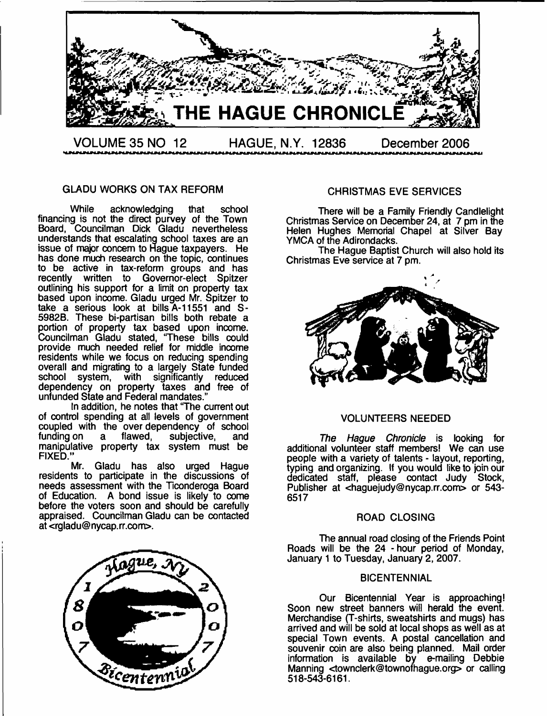

#### GLADU WORKS ON TAX REFORM

While acknowledging that school financing is not the direct purvey of the Town Board, Councilman Dick Gladu nevertheless understands that escalating school taxes are an issue of major concern to Hague taxpayers. He has done much research on the topic, continues to be active in tax-reform groups and has recently written to Governor-elect Spitzer outlining his support for a limit on property tax based upon income. Gladu urged Mr. Spitzer to take a serious look at bills A-11551 and S-5982B. These bi-partisan bills both rebate a portion of property tax based upon income. Councilman Gladu stated, 'These bills could provide much needed relief for middle income residents while we focus on reducing spending overall and migrating to a largely State funded school system, with significantly reduced dependency on property taxes and free of unfunded State and Federal mandates."

In addition, he notes that 'The current out of control spending at all levels of government coupled with the over-dependency of school funding on a flawed. subjective, and funding on a flawed, subjective, and manipulative property tax system must be FIXED."

Mr. Gladu has also urged Hague residents to participate in the discussions of needs assessment with the Ticonderoga Board of Education. A bond issue is likely to come before the voters soon and should be carefully appraised. Councilman Gladu can be contacted at <[rgladu@nycap.rr.com>](mailto:rgladu@nycap.rr.com).



#### CHRISTMAS EVE SERVICES

There will be a Family Friendly Candlelight Christmas Service on December 24, at 7 pm in the Helen Hughes Memorial Chapel at Silver Bay YMCA of the Adirondacks.

The Hague Baptist Church will also hold its Christmas Eve service at 7 pm.



#### VOLUNTEERS NEEDED

*The Hague Chronicle* is looking for additional volunteer staff members! We can use people with a variety of talents - layout, reporting, typing and organizing. If you would like to join our dedicated staff, please contact Judy Stock, Publisher at <[haguejudy@nycap.rr.com](mailto:haguejudy@nycap.rr.com)> or 543- 6517

#### ROAD CLOSING

The annual road closing of the Friends Point Roads will be the 24 - hour period of Monday, January 1 to Tuesday, January 2, 2007.

#### **BICENTENNIAL**

Our Bicentennial Year is approaching! Soon new street banners will herald the event. Merchandise (T-shirts, sweatshirts and mugs) has arrived and will be sold at local shops as well as at special Town events. A postal cancellation and souvenir coin are also being planned. Mail order information is available by e-mailing Debbie Manning [<townclerk@townofhague.org>](mailto:townclerk@townofhague.org) or calling 518-543-6161.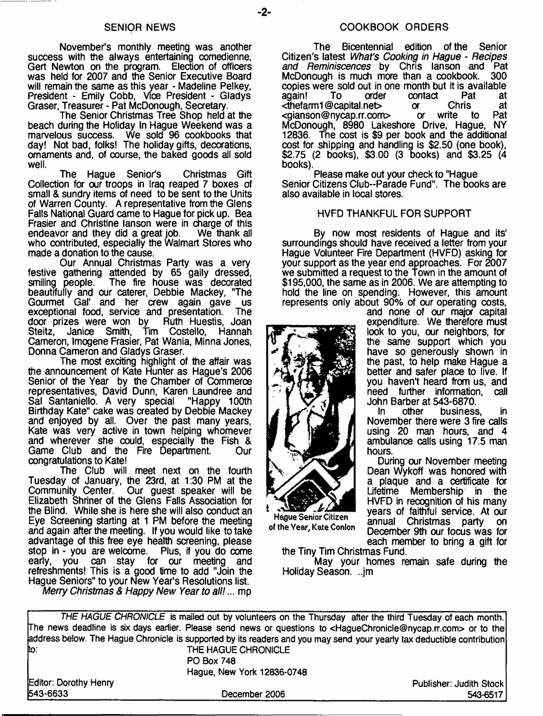November's monthly meeting was another success with the always entertaining comedienne, Gert Newton on the program. Election of officers was held for 2007 and the Senior Executive Board will remain the same as this year - Madeline Pelkey, President - Emily Cobb, Vioe President - Gladys Graser, Treasurer - Pat McDonough, Secretary.

The Senior Christmas Tree Shop held at the beach during the Holiday In Hague Weekend was a marvelous success. We sold 96 cookbooks that day! Not bad, folks! The holiday gifts, decorations, ornaments and, of course, the baked goods all sold well.

The Hague Senior's Christmas Gift Collection for our troops in Iraq reaped 7 boxes of small & sundry items of need to be sent to the Units of Warren County. A representative from the Glens Falls National Guard came to Hague for pick up. Bea Frasier and Christine lanson were in charge of this endeavor and they did a great job. We thank all endeavor and they did a great job. who contributed, especially the Walmart Stores who made a donation to the cause.

Our Annual Christmas Party was a very festive gathering attended by 65 gaily dressed, smiling people. The fire house was decorated The fire house was decorated beautifully and our caterer, Debbie Mackey, "The Gourmet Gal' and her crew again gave us<br>exceptional food service and presentation. The exceptional food, service and presentation. The door prizes were won by Ruth Huestis. Joan door prizes were won by<br>Steitz, Janice Smith, Tir Tim Costello, Hannah Cameron, Imogene Frasier, Pat Wania, Minna Jones, Donna Cameron and Gladys Graser.

The most exciting highlight of the affair was the announcement of Kate Hunter as Hague's 2006 Senior of the Year by the Chamber of Commerce representatives, David Dunn, Karen Laundree and<br>Sal Santaniello. A very special "Happy 100th Sal Santaniello. A very special Birthday Kate" cake was created by Debbie Mackey and enjoyed by all. Over the past many years, Kate was very active in town helping whomever and wherever she could, especially the Fish &<br>Game Club and the Fire Department Our Game Club and the Fire Department. congratulations to Kate!

The Club will meet next on the fourth Tuesday of January, the 23rd, at 1:30 PM at the Community Center. Our guest speaker will be Elizabeth Shriner of the Glens Falls Association for the Blind. While she is here she will also conduct an Eye Screening starting at 1 PM before the meeting and again after the meeting. If you would like to take advantage of this free eye health screening, please stop in - you are welcome. Plus, if you do come can stay for our meeting and refreshments! This is a good time to add "Join the Hague Seniors" to your New Year's Resolutions list.

*Merry Christmas & Happy New Year to all!*... mp

The Bicentennial edition of the Senior Citizen's latest *What's Cooking in Hague - Recipes and Reminiscences* by Chris lanson and Pat McDonough is much more than a cookbook. 300 copies were sold out in one month but it is available<br>again! To order contact Pat at contact Pat at<br>or Chris at <thefarm1 @capital.net> or Chris at [<gianson@nycap.rr.com>](mailto:gianson@nycap.rr.com) McDonough, 8980 Lakeshore Drive, Hague, NY 12836. The cost is \$9 per book and the additional cost for shipping and handling is \$2.50 (one book), \$2.75 (2 books), \$3.00 (3 books) and \$3.25 (4 books).

Please make out your check to "Hague Senior Citizens Club-Parade Fund". The books are also available in local stores.

#### HVFD THANKFUL FOR SUPPORT

By now most residents of Hague and its' surroundings should have received a letter from your Hague Volunteer Rre Department (HVFD) asking for your support as the year end approaches. For 2007 we submitted a request to the Town in the amount of \$195,000, the same as in 2006. We are attempting to hold the line on spending. However, this amount represents only about 90% of our operating costs,

and none of our major capital expenditure. We therefore must look to you, our neighbors, for the same support which you have so generously shown in the past, to help make Hague a better and safer place to live. If you haven't heard from us, and need further information, call

John Barber at 543-6870. business, in November there were 3 fire calls using 20 man hours, and 4 ambulance calls using 17.5 man hours.

During our November meeting Dean Wykoff was honored with a plaque and a certificate for Lifetime Membership in the HVFD in recognition of his many years of faithful service. At our<br>annual Christmas party on annual Christmas party December 9th our focus was for each member to bring a gift for

the Tiny Tim Christmas Fund. May your homes remain safe during the Holiday Season. ..jm

| Editor: Dorothy Henry<br>543-6633 | December 2006                                                                                                                                 | Publisher: Judith Stock<br>543-6517 |
|-----------------------------------|-----------------------------------------------------------------------------------------------------------------------------------------------|-------------------------------------|
|                                   | Hague, New York 12836-0748                                                                                                                    |                                     |
|                                   | <b>PO Box 748</b>                                                                                                                             |                                     |
| ito.                              | THE HAGUE CHRONICLE                                                                                                                           |                                     |
|                                   | address below. The Hague Chronicle is supported by its readers and you may send your yearly tax deductible contribution                       |                                     |
|                                   | The news deadline is six days earlier. Please send news or questions to <haguechronicle@nycap.rr.com> or to the</haguechronicle@nycap.rr.com> |                                     |
|                                   | THE HAGUE CHRONICLE is mailed out by volunteers on the Thursday after the third Tuesday of each month.                                        |                                     |



of the Year, Kate Conlon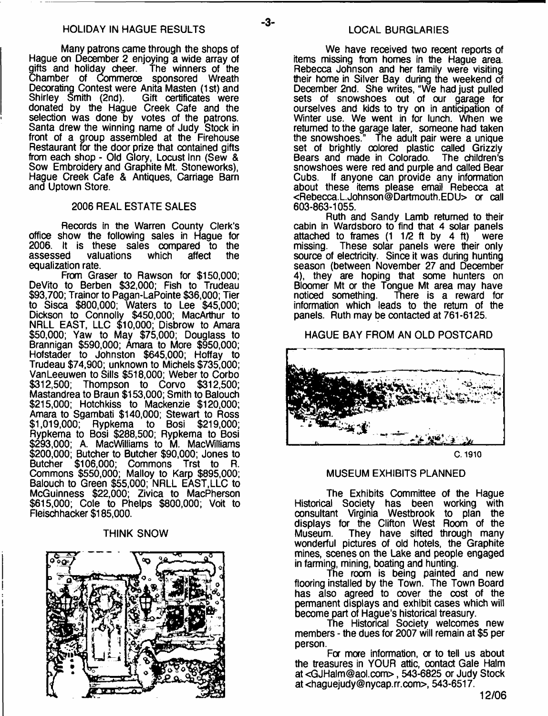-3-

Many patrons came through the shops of Hague on December 2 enjoying a wide array of gifts and holiday cheer. The winners of the Chamber of Commerce sponsored Wreath Decorating Contest were Anita Masten (1st) and Shirley Smith (2nd). Gift certificates were donated by the Hague Creek Cafe and the selection was done by votes of the patrons. Santa drew the winning name of Judy Stock in front of a group assembled at the Firehouse Restaurant for the door prize that contained gifts from each shop - Old Glory, Locust Inn (Sew & Sow Embroidery and Graphite Mt. Stoneworks), Hague Creek Cafe & Antiques, Carriage Barn and Uptown Store.

#### 2006 REAL ESTATE SALES

Records in the Warren County Clerk's office show the following sales in Hague for 2006. It is these sales compared to the valuations equalization rate.

From Graser to Rawson for \$150,000; DeVito to Berben \$32,000; Fish to Trudeau \$93,700; Trainor to Pagan-LaPointe \$36,000; Tier to Sisca \$800,000; Waters to Lee \$45,000; Dickson to Connolly \$450,000; MacArthur to NRLL EAST, LLC \$10,000; Disbrow to Amara \$50,000; Yaw to May \$75,000; Douglass to Brannigan \$590,000; Amara to More \$950,000; Hofstader to Johnston \$645,000; Hoffay to Trudeau \$74,900; unknown to Michels \$735,000; VanLeeuwen to Sills \$518,000; Weber to Corbo **Thompson to Corvo** Mastandrea to Braun \$153,000; Smith to Balouch \$215,000; Hotchkiss to Mackenzie \$120,000; Amara to Sgambati \$140,000; Stewart to Ross \$1,019,000; Rypkema to Bosi \$219,000; Rypkema to Bosi \$288,500; Rypkema to Bosi \$293,000; A. MacWilliams to M. MacWilliams \$200,000; Butcher to Butcher \$90,000; Jones to Butcher \$106,000; Commons Trst to R. Commons \$550,000; Malloy to Karp \$895,000; Balouch to Green \$55,000; NRLL EAST,LLC to McGuinness \$22,000; Zivica to MacPherson \$615,000; Cole to Phelps \$800,000; Voit to Fleischhacker \$185,000.

#### THINK SNOW



We have received two recent reports of items missing from homes in the Hague area. Rebecca Johnson and her family were visiting their home in Silver Bay during the weekend of December 2nd. She writes, "We had just pulled sets of snowshoes out of our garage for ourselves and kids to try on in anticipation of Winter use. We went in for lunch. When we returned to the garage later, someone had taken the snowshoes." The adult pair were a unique set of brightly oolored plastic called Grizzly Bears and made in Colorado. The children's snowshoes were red and purple and called Bear Cubs. If anyone can provide any information about these items please email Rebecca at <[Rebecca.L.Johnson@Dartmouth.EDU>](mailto:Rebecca.L.Johnson@Dartmouth.EDU) or call 603-863-1055.

Ruth and Sandy Lamb returned to their cabin in Wardsboro to find that 4 solar panels attached to frames (1 1/2 ft by 4 ft) were missing. These solar panels were their only source of electricity. Since it was during hunting season (between November 27 and December 4), they are hoping that some hunters on Bloomer Mt or the Tongue Mt area may have noticed something. There is a reward for information which leads to the return of the panels. Ruth may be contacted at 761-6125.

#### HAGUE BAY FROM AN OLD POSTCARD



**C. 1910**

#### MUSEUM EXHIBITS PLANNED

The Exhibits Committee of the Hague Historical Society has been working with consultant Virginia Westbrook to plan the displays for the Clifton West Room of the<br>Museum. They have sifted through many They have sifted through many wonderful pictures of old hotels, the Graphite mines, scenes on the Lake and people engaged in farming, mining, boating and hunting.

The room is being painted and new flooring installed by the Town. The Town Board has also agreed to cover the cost of the permanent displays and exhibit cases which will become part of Hague's historical treasury.

The Historical Society welcomes new members - the dues for 2007 will remain at \$5 per person.

For more information, or to tell us about the treasures in YOUR attic, contact Gale Halm at [<GJHalm@aol.com](mailto:GJHalm@aol.com)> , 543-6825 or Judy Stock at [<haguejudy@nycap.rr.com](mailto:haguejudy@nycap.rr.com)>, 543-6517.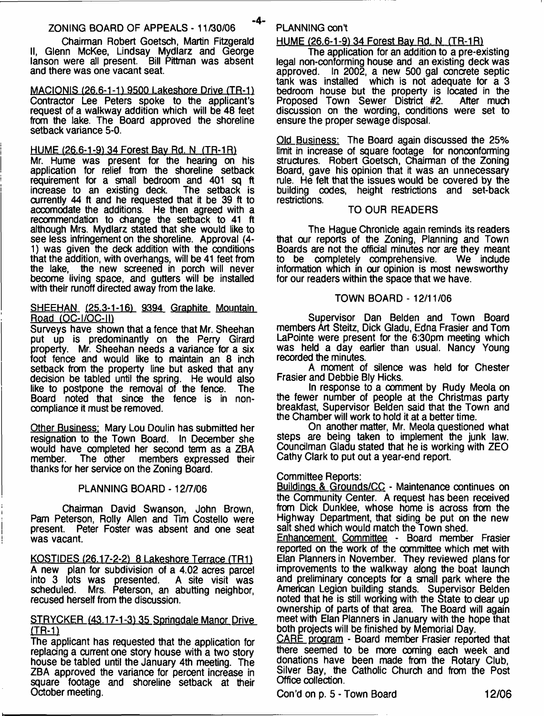#### ZONING BOARD OF APPEALS - 11/30/06

Chairman Robert Goetsch, Martin Fitzgerald II, Glenn McKee, Lindsay Mydlarz and George lanson were all present. Bill Pittman was absent and there was one vacant seat.

MACIONIS <26.6-1-1) 9500 Lakeshore Drive (TR-1) Contractor Lee Peters spoke to the applicant's request of a walkway addition which will be 48 feet from the lake. The Board approved the shoreline setback variance 5-0.

#### HUME (26.6-1-9) 34 Forest Bay Rd. N (TR-1R)

Mr. Hume was present for the hearing on his application for relief from the shoreline setback requirement for a small bedroom and 401 sq ft increase to an existing deck. The setback is increase to an existing deck. currently 44 ft and he requested that it be 39 ft to accomodate the additions. He then agreed with a recommendation to change the setback to 41 ft although Mrs. Mydlarz stated that she would like to see less infringement on the shoreline. Approval (4- 1) was given the deck addition with the conditions that the addition, with overhangs, will be 41 feet from the lake, the new screened in porch will never become living space, and gutters will be installed with their runoff directed away from the lake.

#### SHEEHAN (25.3-1-16) 9394 Graphite Mountain Road (OC-I/OC-II)

Surveys have shown that a fence that Mr. Sheehan put up is predominantly on the Perry Girard property. Mr. Sheehan needs a variance for a six foot fence and would like to maintain an 8 inch setback from the property line but asked that any decision be tabled until the spring. He would also<br>like to postpone the removal of the fence. The like to postpone the removal of the fence. Board noted that since the fence is in noncompliance it must be removed.

Other Business: Mary Lou Doulin has submitted her resignation to the Town Board. In December she would have completed her second term as a ZBA member. The other members expressed their members expressed their thanks for her service on the Zoning Board.

#### PLANNING BOARD -12/7/06

Chairman David Swanson, John Brown, Pam Peterson, Roily Allen and Tim Costello were present. Peter Foster was absent and one seat was vacant.

KOSTIDES (26.17-2-2) 8 Lakeshore Terrace (TR1) A new plan for subdivision of a 4.02 acres parcel into 3 lots was presented.<br>scheduled. Mrs. Peterson a Mrs. Peterson, an abutting neighbor, recused herself from the discussion.

#### STRYCKER (43.17-1-3) 35 Springdale Manor Drive (TR-1)

The applicant has requested that the application for replacing a current one story house with a two story house be tabled until the January 4th meeting. The ZBA approved the variance for percent increase in square footage and shoreline setback at their October meeting.

### PLANNING cont

#### HUME (26.6-1-91 34 Forest Bav Rd. N (TR-1R)

The application for an addition to a pre-existing legal non-conforming house and an existing deck was approved. In 2002, a new 500 gal concrete septic tank was installed which is not adequate for a 3 bedroom house but the property is located in the Proposed Town Sewer District #2. After much discussion on the wording, conditions were set to ensure the proper sewage disposal.

Old Business: The Board again discussed the 25% limit in increase of square footage for nonconforming structures. Robert Goetsch, Chairman of the Zoning Board, gave his opinion that it was an unnecessary rule. He felt that the issues would be covered by the building codes, height restrictions and set-back restrictions.

#### TO OUR READERS

The Hague Chronicle again reminds its readers that our reports of the Zoning, Planning and Town Boards are not the official minutes nor are they meant<br>to be completely comprehensive. We include to be completely comprehensive. information which in our opinion is most newsworthy for our readers within the space that we have.

#### TOWN BOARD - 12/11/06

Supervisor Dan Belden and Town Board members Art Steitz, Dick Gladu, Edna Frasier and Tom LaPointe were present for the 6:30pm meeting which was held a day earlier than usual. Nancy Young recorded the minutes.

A moment of silence was held for Chester Frasier and Debbie Bly Hicks.

In response to a comment by Rudy Meola on the fewer number of people at the Christmas party breakfast, Supervisor Belden said that the Town and the Chamber will work to hold it at a better time.

On another matter, Mr. Meola questioned what steps are being taken to implement the junk law. Councilman Gladu stated that he is working with ZEO Cathy Clark to put out a year-end report.

#### Committee Reports:

Buildings & Grounds/CC - Maintenance continues on the Community Center. A request has been received from Dick Dunklee, whose home is across from the Highway Department, that siding be put on the new salt shed which would match the Town shed.

Enhancement Committee - Board member Frasier reported on the work of the committee which met with Elan Planners in November. They reviewed plans for improvements to the walkway along the boat launch and preliminary concepts for a small park where the American Legion building stands. Supervisor Belden noted that he is still working with the State to dear up ownership of parts of that area. The Board will again meet with Elan Planners in January with the hope that both projects will be finished by Memorial Day.

CARE program - Board member Frasier reported that there seemed to be more coming each week and donations have been made from the Rotary Club, Silver Bay, the Catholic Church and from the Post Office collection.

Con'd on p. 5 - Town Board 12/06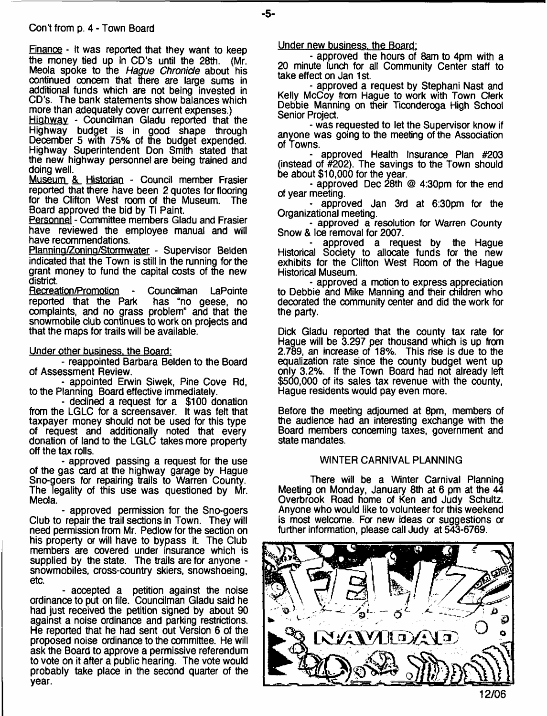Finance - It was reported that they want to keep the money tied up in CD's until the 28th. (Mr. Meola spoke to the *Hague Chronicle* about his oontinued concern that there are large sums in additional funds which are not being invested in CD's. The bank statements show balances which more than adequately cover current expenses.)

Highway - Councilman Gladu reported that the Highway budget is in good shape through December 5 with 75% of the budget expended. Highway Superintendent Don Smith stated that the new highway personnel are being trained and doing well.

Museum & Historian - Council member Frasier reported that there have been 2 quotes for flooring for the Clifton West room of the Museum. The Board approved the bid by Ti Paint.

Personnel - Committee members Gladu and Frasier have reviewed the employee manual and will have recommendations.

Plannina/Zonina/Stormwater - Supervisor Belden indicated that the Town is still in the running for the grant money to fund the capital costs of the new district.

Recreation/Promotion - Councilman LaPointe<br>reported that the Park has "no geese, no reported that the Park complaints, and no grass problem" and that the snowmobile club continues to work on projects and that the maps for trails will be available.

**Under other business, the Board:**

- reappointed Barbara Belden to the Board of Assessment Review.

- appointed Erwin Siwek, Pine Cove Rd, to the Planning Board effective immediately.

- declined a request for a \$100 donation from the LGLC for a screensaver. It was felt that taxpayer money should not be used for this type of request and additionally noted that every donation of land to the LGLC takes more property off the tax rolls.

- approved passing a request for the use of the gas card at the highway garage by Hague Sno-goers for repairing trails to Warren County. The legality of this use was questioned by Mr. Meola.

- approved permission for the Sno-goers Club to repair the trail sections in Town. They will need permission from Mr. Pedlow for the section on his property or will have to bypass it. The Club members are covered under insurance which is supplied by the state. The trails are for anyone snowmobiles, cross-country skiers, snowshoeing, etc.

- accepted a petition against the noise ordinance to put on file. Councilman Gladu said he had just received the petition signed by about 90 against a noise ordinance and parking restrictions. He reported that he had sent out Version 6 of the proposed noise ordinance to the committee. He will ask the Board to approve a permissive referendum to vote on it after a public hearing. The vote would probably take place in the second quarter of the year.

Under new business, the Board:

- approved the hours of 8am to 4pm with a 20 minute lunch for all Community Center staff to take effect on Jan 1st.

- approved a request by Stephani Nast and Kelly McCoy from Hague to work with Town Clerk Debbie Manning on their Ticonderoga High School Senior Project.

- was requested to let the Supervisor know if anyone was going to the meeting of the Association of Towns.

approved Health Insurance Plan #203 (instead of #202). The savings to the Town should be about \$10,000 for the year.

- approved Dec 28th @ 4:30pm for the end of year meeting.

- approved Jan 3rd at 6:30pm for the Organizational meeting.

- approved a resolution for Warren County Snow & Ice removal for 2007.

approved a request by the Haque Historical Society to allocate funds for the new exhibits for the Clifton West Room of the Hague Historical Museum.

- approved a motion to express appreciation to Debbie and Mike Manning and their children who decorated the community center and did the work for the party.

Dick Gladu reported that the county tax rate for Hague will be 3.297 per thousand which is up from 2.789, an increase of 18%. This rise is due to the equalization rate since the county budget went up only 3.2%. If the Town Board had not already left \$500,000 of its sales tax revenue with the county, Hague residents would pay even more.

Before the meeting adjourned at 8pm, members of the audience had an interesting exchange with the Board members concerning taxes, government and state mandates.

### WINTER CARNIVAL PLANNING

There will be a Winter Carnival Planning Meeting on Monday, January 8th at 6 pm at the 44 Overbrook Road home of Ken and Judy Schultz. Anyone who would like to volunteer for this weekend is most welcome. For new ideas or suggestions a further information, please call Judy at 543-6769.

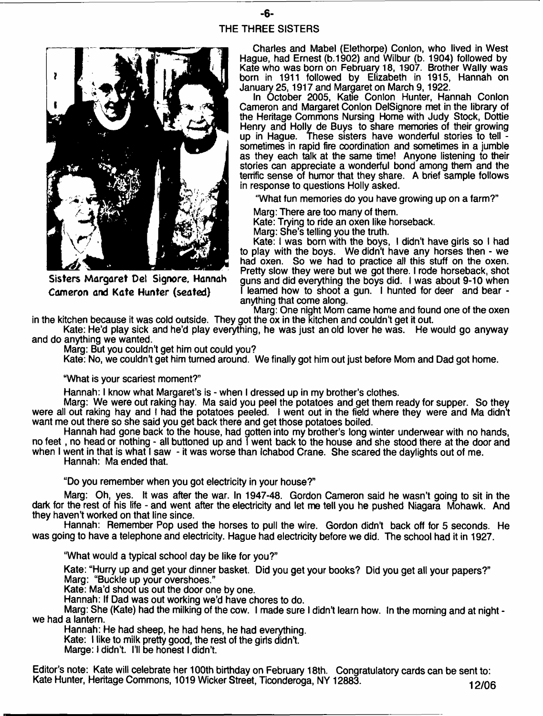## **-6-** THE THREE SISTERS



**Sisters Margaret Del Signore, Hannah Cameron and Kate Hunter (seated)**

Charles and Mabel (Elethorpe) Conlon, who lived in West Hague, had Ernest (b.1902) and Wilbur (b. 1904) followed by Kate who was born on February 18, 1907. Brother Wally was born in 1911 followed by Elizabeth in 1915, Hannah on January 25,1917 and Margaret on March 9,1922.

In October 2005, Katie Conlon Hunter, Hannah Conlon Cameron and Margaret Conlon DelSignore met in the library of the Heritage Commons Nursing Home with Judy Stock, Dottie Henry and Holly de Buys to share memories of their growing up in Hague. These sisters have wonderful stories to tell sometimes in rapid fire coordination and sometimes in a jumble as they each talk at the same time! Anyone listening to their stories can appreciate a wonderful bond among them and the terrific sense of humor that they share. A brief sample follows in response to questions Holly asked.

'What fun memories do you have growing up on a farm?"

Marg: There are too many of them.

Kate: Trying to ride an oxen like horseback.

Marg: She's telling you the truth.

Kate: I was bom with the boys, I didn't have girls so I had to play with the boys. We didn't have any horses then - we had oxen. So we had to practice ail this stuff on the oxen. Pretty slow they were but we got there. I rode horseback, shot guns and did everything the boys did. I was about 9-10 when I learned how to shoot a gun. I hunted for deer and bear anything that come along.

Marg: One night Mom came home and found one of the oxen in the kitchen because it was cold outside. They got the ox in the kitchen and couldn't get it out.

Kate: He'd play sick and he'd play everything, he was just an old lover he was. He would go anyway and do anything we wanted.

Marg: But you couldn't get him out could you?

Kate: No, we couldn't get him turned around. We finally got him out just before Mom and Dad got home.

#### What is your scariest moment?"

Hannah: I know what Margaret's is - when I dressed up in my brother's clothes.

Marg: We were out raking hay. Ma said you peel the potatoes and get them ready for supper. So they were all out raking hay and I had the potatoes peeled. I went out in the field where they were and Ma didn't want me out there so she said you get back there and get those potatoes boiled.

Hannah had gone back to the house, had gotten into my brother's long winter underwear with no hands, no feet, no head or nothing - all buttoned up and **T** went back to the house and she stood there at the door and when I went in that is what I saw - it was worse than Ichabod Crane. She scared the daylights out of me. Hannah: Ma ended that.

"Do you remember when you got electricity in your house?"

Marg: Oh, yes. It was after the war. In 1947-48, Gordon Cameron said he wasn't going to sit in the dark for the rest of his life - and went after the electricity and let me tell you he pushed Niagara Mohawk. And they haven't worked on that line since.

Hannah: Remember Pop used the horses to pull the wire. Gordon didn't back off for 5 seconds. He was going to have a telephone and electricity. Hague had electricity before we did. The school had it in 1927.

"What would a typical school day be like for you?"

Kate: "Hurry up and get your dinner basket. Did you get your books? Did you get all your papers?" Marg: "Buckle up your overshoes."

Kate: Ma'd shoot us out the door one by one.

Hannah: If Dad was out working we'd have chores to do.

Marg: She (Kate) had the milking of the cow. I made sure I didn't learn how. In the morning and at night we had a lantern.

Hannah: He had sheep, he had hens, he had everything.

Kate: I like to milk pretty good, the rest of the girls didn't.

Marge: I didn't. I'll be honest I didn't.

Editor's note: Kate will celebrate her 100th birthday on February 18th. Congratulatory cards can be sent to: Kate Hunter, Heritage Commons, 1019 Wicker Street, Ticonderoga, NY 12883. 112006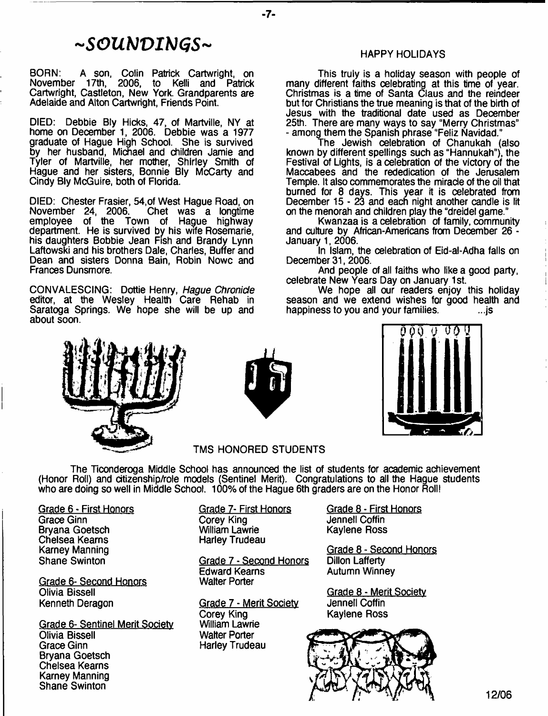## *- s o u m i m s -*

BORN: A son, Colin Patrick Cartwright, on 17th, 2006, to Kelli and Patrick Cartwright, Castleton, New York. Grandparents are Adelaide and Alton Cartwright, Friends Point.

DIED: Debbie Bly Hicks, 47, of Martville, NY at home on December 1, 2006. Debbie was a 1977 graduate of Hague High School. She is survived by her husband, Michael and children Jamie and Tyler of Martville, her mother, Shirley Smith of Hague and her sisters, Bonnie Bly McCarty and Cindy Bly McGuire, both of Florida.

DIED: Chester Frasier, 54, of West Hague Road, on<br>November 24, 2006. Chet was a longtime November 24, 2006. Chet was a longtime employee of the Town of Hague highway department. He is survived by his wife Rosemarie, his daughters Bobbie Jean Fish and Brandy Lynn Laftowski and his brothers Dale, Charles, Buffer and Dean and sisters Donna Bain, Robin Nowc and Frances Dunsmore.

CONVALESCING: Dottie Henry, *Hague Chronicle* editor, at the Wesley Health Care Rehab in Saratoga Springs. We hope she will be up and about soon.

#### HAPPY HOLIDAYS

This truly is a holiday season with people of many different faiths celebrating at this time of year. Christmas is a time of Santa Claus and the reindeer but for Christians the true meaning is that of the birth of Jesus with the traditional date used as December 25th. There are many ways to say "Merry Christmas" - among them the Spanish phrase "Feliz Navidad."

The Jewish celebration of Chanukah (also known by different spellings such as "Hannukah"), the Festival of Lights, is a celebration of the victory of the Maccabees and the rededication of the Jerusalem Temple. It also commemorates the miracle of the oil that burned for 8 days. This year it is celebrated from December 15-23 and each night another candle is lit on the menorah and children play the "dreidel game."

Kwanzaa is a celebration of family, community and culture by African-Americans from December 26 - January 1, 2006.

In Islam, the celebration of Eid-al-Adha falls on December 31, 2006.

And people of all faiths who like a good party, celebrate New Years Day on January 1st.

We hope all our readers enjoy this holiday season and we extend wishes for good health and happiness to you and your families. happiness to you and your families.





**-7-**



TMS HONORED STUDENTS

The Ticonderoga Middle School has announced the list of students for academic achievement (Honor Roll) and citizenship/role models (Sentinel Merit). Congratulations to all the Hague students who are doing so well in Middle School. 100% of the Hague 6th graders are on the Honor Roll!

Grade 6 - First Honors Grace Ginn Bryana Goetsch Chelsea Kearns Karney Manning Shane Swinton

Grade 6- Second Honors Olivia Bissell Kenneth Deragon

Grade 6- Sentinel Merit Society Olivia Bissell Grace Ginn Bryana Goetsch Chelsea Kearns Karney Manning Shane Swinton

Grade 7- First Honors Corey King William Lawrie Harley Trudeau

Grade 7 - Second Honors Edward Kearns Walter Porter

Grade 7 - Merit Society Corey King William Lawrie Walter Porter Harley Trudeau

Grade 8 - First Honors Jennell Coffin Kaylene Ross

Grade 8 - Second Honors Dillon Lafferty Autumn Winney

Grade 8 - Merit Society Jennell Coffin Kaylene Ross

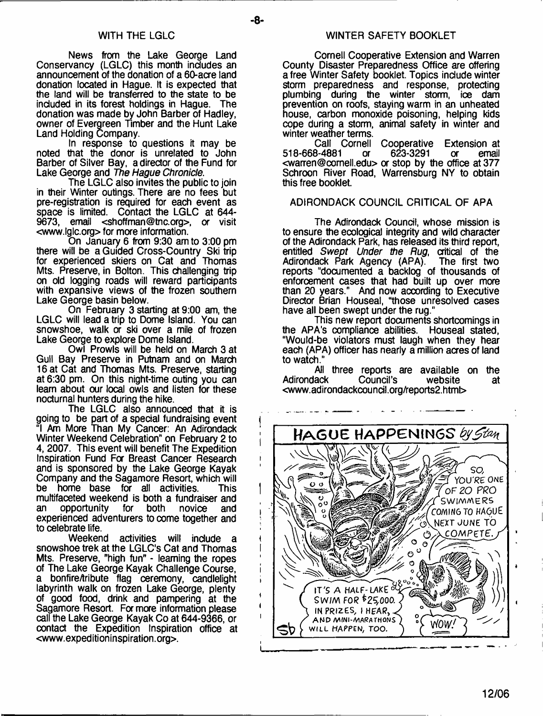News from the Lake George Land Conservancy (LGLC) this month includes an announcement of the donation of a 60-acre land donation located in Hague. It is expected that the land will be transferred to the state to be included in its forest holdings in Hague. The donation was made by John Barber of Hadley, owner of Evergreen Timber and the Hunt Lake Land Holding Company.

In response to questions it may be noted that the donor is unrelated to John Barber of Silver Bay, a director of the Fund for Lake George and *The Hague Chronicle*.

The LGLC also invites the public to join in their Winter outings. There are no fees but pre-registration is required for each event as space is limited. Contact the LGLC at 644-<br>9673. email <shoffman@tnc.org>. or visit 9673, email <[shoffman@tnc.org>](mailto:shoffman@tnc.org), or visit <[www.lglc.org](http://www.lglc.org)> for more information.

On January 6 from 9:30 am to 3:00 pm there will be a Guided Cross-Country Ski trip for experienced skiers on Cat and Thomas Mts. Preserve, in Bolton. This challenging trip on old logging roads will reward participants with expansive views of the frozen southern Lake George basin below.

On February 3 starting at 9:00 am, the LGLC will lead atrip to Dome Island. You can snowshoe, walk or ski over a mile of frozen Lake George to explore Dome Island.

Owl Prowls will be held on March 3 at Gull Bay Preserve in Putnam and on March 16 at Cat and Thomas Mts. Preserve, starting at 6:30 pm. On this night-time outing you can learn about our local owls and listen for these nocturnal hunters during the hike.

The LGLC also announced that it is going to be part of a special fundraising event "I Am More Than My Cancer: An Adirondack Winter Weekend Celebration" on February 2 to 4, 2007. This event will benefit The Expedition Inspiration Fund For Breast Cancer Research and is sponsored by the Lake George Kayak Company and the Sagamore Resort, which will be home base for all activities. This multifaceted weekend is both a fundraiser and<br>an opportunity for both novice and opportunity experienced adventurers to come together and to celebrate life.

Weekend activities will include a snowshoe trek at the LGLC's Cat and Thomas Mts. Preserve, "high fun" - learning the ropes of The Lake George Kayak Challenge Course, a bonfire/tribute flag ceremony, candlelight labyrinth walk on frozen Lake George, plenty of good food, drink and pampering at the Sagamore Resort. For more information please call the Lake George Kayak Co at 644-9366, or contact the Expedition Inspiration office at <www. exped ition inspi ration. org>.

Cornell Cooperative Extension and Warren County Disaster Preparedness Office are offering a free Winter Safety booklet. Topics include winter storm preparedness and response, protecting plumbing during the winter storm, ice dam prevention on roofs, staying warm in an unheated house, carbon monoxide poisoning, helping kids cope during a storm, animal safety in winter and winter weather terms.

Call Cornell Cooperative Extension at<br>518-668-4881 or 623-3291 or email 518-668-4881 or 623-3291 or email  $\leq$ warren@comell.edu $>$  or stop by the office at 377 Schroon River Road, Warrensburg NY to obtain this free booklet.

#### ADIRONDACK COUNCIL CRITICAL OF APA

The Adirondack Council, whose mission is to ensure the ecological integrity and wild character of the Adirondack Park, has released its third report, entitled *Swept Under the Rug*, critical of the Adirondack Park Agency (APA). The first two Adirondack Park Agency (APA). reports "documented a backlog of thousands of enforcement cases that had built up over more than 20 years." And now according to Executive Director Brian Houseal, "those unresolved cases have all been swept under the rug."

This new report documents shortcomings in the APA's compliance abilities. Houseal stated, "Would-be violators must laugh when they hear each (APA) officer has nearly a million acres of land to watch."

All three reports are available on the<br>Adirondack Council's website at Adirondack Council's website at [<www.adirondackcouncil.orgfreports2.html](http://www.adirondackcouncil.orgfreports2.html)>

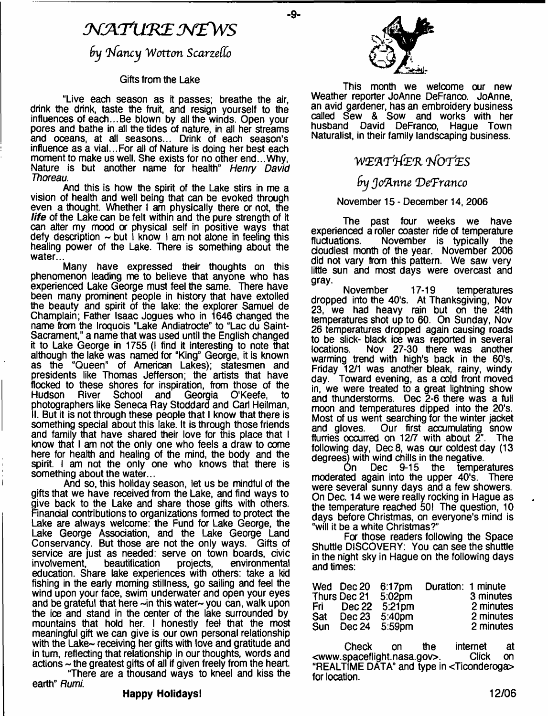## $\mathcal N$  AT URE NEW S

 $9y$  Nancy Wotton Scarzello

#### Gifts from the Lake

"Live each season as it passes; breathe the air, drink the drink, taste the fruit, and resign yourself to the influences of each...Be blown by all the winds. Open your pores and bathe in all the tides of nature, in all her streams and oceans, at all seasons... Drink of each season's influence as a vial...For all of Nature is doing her best each moment to make us well. She exists for no other end...Why, Nature is but another name for health" *Henry David Thoreau.*

And this is how the spirit of the Lake stirs in me a vision of health and well being that can be evoked through even a thought. Whether I am physically there or not, the *life* of the Lake can be felt within and the pure strength of it can alter my mood or physical self in positive ways that defy description  $\sim$  but I know I am not alone in feeling this healing power of the Lake. There is something about the water.

Many have expressed their thoughts on this phenomenon leading me to believe that anyone who has experienced Lake George must feel the same. There have been many prominent people in history that have extolled the beauty and spirit of the lake: the explorer Samuel de Champlain; Father Isaac Jogues who in 1646 changed the name from the Iroquois "Lake Andiatrocte" to "Lac du Saint-Sacrament," a name that was used until the English changed it to Lake George in 1755 (i find it interesting to note that although the lake was named for "King" George, it is known as the "Queen" of American Lakes); statesmen and presidents like Thomas Jefferson; the artists that have flocked to these shores for inspiration, from those of the<br>Hudson River School and Georgia O'Keefe, to Georgia O'Keefe, photographers like Seneca Ray Stoddard and Carl Heilman, II. But it is not through these people that I know that there is something special about this lake. It is through those friends and family that have shared their love for this place that I know that I am not the only one who feels a draw to come here for health and healing of the mind, the body and the spirit. I am not the only one who knows that there is something about the water...

And so, this holiday season, let us be mindful of the gifts that we have received from the Lake, and find ways to give back to the Lake and share those gifts with others. Financial contributions to organizations formed to protect the Lake are always welcome: the Fund for Lake George, the Lake George Association, and the Lake George Land Conservancy. But those are not the only ways. Gifts of service are just as needed: serve on town boards, civic<br>involvement, beautification projects, environmental involvement, education. Share lake experiences with others: take a kid fishing in the early morning stillness, go sailing and feel the wind upon your face, swim underwater and open your eyes and be grateful that here  $\sim$ in this water $\sim$  you can, walk upon the ice and stand in the center of the lake surrounded by mountains that hold her. I honestly feel that the most meaningful gift we can give is our own personal relationship with the Lake- receiving her gifts with love and gratitude and in turn, reflecting that relationship in our thoughts, words and actions ~ the greatest gifts of all if given freely from the heart. "There are a thousand ways to kneel and kiss the

earth" *Rumi.*

#### **Happy Holidays!**



**-9-**

This month we welcome our new Weather reporter JoAnne DeFranco. JoAnne, an avid gardener, has an embroidery business called Sew & Sow and works with her husband David DeFranco, Hague Town Naturalist, in their family landscaping business.

## ■W E fl'r t & R *tSo t 'es*

## *(nt Joftnne V eTranco*

#### November 15 - December 14, 2006

The past four weeks we have experienced a roller coaster ride of temperature November is typically the cloudiest month of the year. November 2006 did not vary from this pattern. We saw very little sun and most days were overcast and gray.

November 17-19 temperatures dropped into the 40's. At Thanksgiving, Nov 23, we had heavy rain but on the 24th temperatures shot up to 60. On Sunday, Nov 26 temperatures dropped again causing roads to be slick- black ioe was reported in several locations. Nov 27-30 there was another warming trend with high's back in the 60's. Friday 12/1 was another bleak, rainy, windy day. Toward evening, as a cold front moved in, we were treated to a great lightning show and thunderstorms. Dec 2-6 there was a full moon and temperatures dipped into the 20's. Most of us went searching for the winter jacket Our first accumulating snow<br>a on 12/7 with about 2". The flurries occurred on 12/7 with about  $\tilde{Z}$ ". following day, Dec 8, was our coldest day (13 degrees) with wind chills in the negative.

On Dec 9-15 the temperatures moderated again into the upper 40's. There were several sunny days and a few showers. On Dec. 14 we were really rocking in Hague as the temperature reached 50! The question, 10 days before Christmas, on everyone's mind is "will it be a white Christmas?"

For those readers following the Space Shuttle DISCOVERY: You can see the shuttle in the night sky in Hague on the following days and times:

|       | Wed Dec 20   | $6:17$ pm          | Duration: 1 minute |           |
|-------|--------------|--------------------|--------------------|-----------|
|       | Thurs Dec 21 | 5:02 <sub>pm</sub> |                    | 3 minutes |
| Fri I | Dec 22       | $5:21$ pm          |                    | 2 minutes |
| Sat   | Dec 23       | 5.40pm             |                    | 2 minutes |
| Sun   |              | Dec 24 5:59pm      |                    | 2 minutes |

Check on the internet at<br>spaceflight.nasa.gov>. Click on [<www.spaceflight.nasa.gov>](http://www.spaceflight.nasa.gov). "REALTIME DATA" and type in <Ticonderoga> for location.